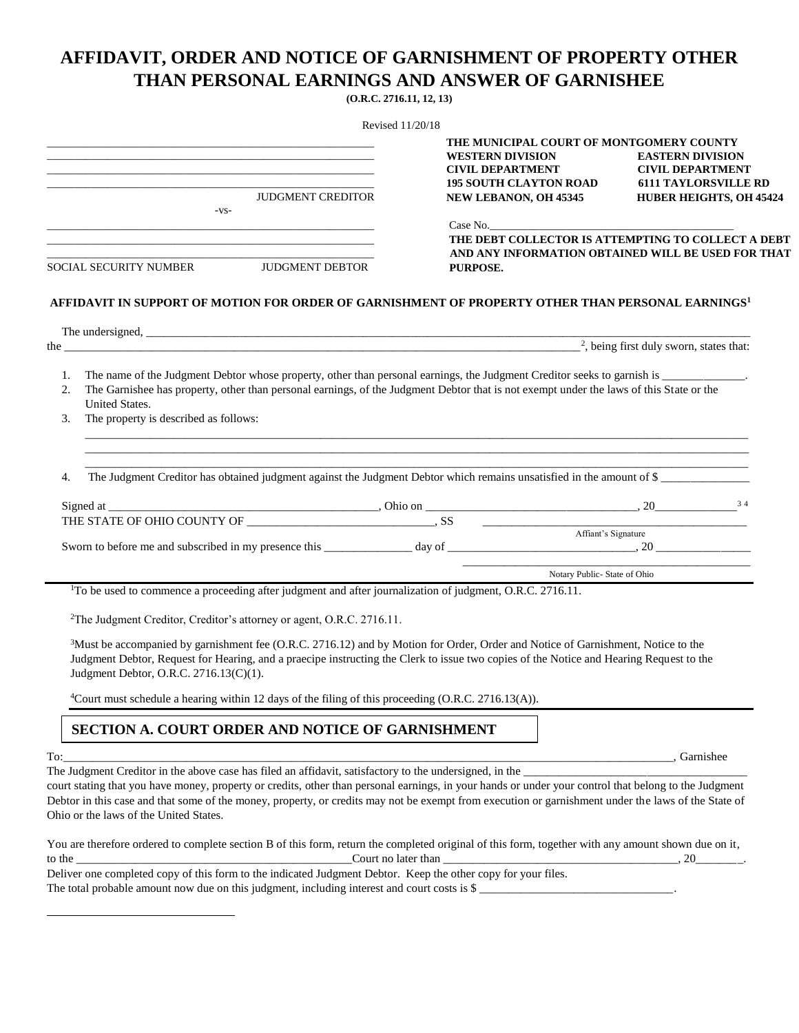## **AFFIDAVIT, ORDER AND NOTICE OF GARNISHMENT OF PROPERTY OTHER THAN PERSONAL EARNINGS AND ANSWER OF GARNISHEE**

**(O.R.C. 2716.11, 12, 13)**

|                                                                                                                                                                                                                                                                                                                                                        | THE MUNICIPAL COURT OF MONTGOMERY COUNTY<br><b>WESTERN DIVISION</b>                                                  | <b>EASTERN DIVISION</b>                                                                  |  |
|--------------------------------------------------------------------------------------------------------------------------------------------------------------------------------------------------------------------------------------------------------------------------------------------------------------------------------------------------------|----------------------------------------------------------------------------------------------------------------------|------------------------------------------------------------------------------------------|--|
| <b>JUDGMENT CREDITOR</b>                                                                                                                                                                                                                                                                                                                               | <b>CIVIL DEPARTMENT</b><br><b>195 SOUTH CLAYTON ROAD</b><br>NEW LEBANON, OH 45345                                    | <b>CIVIL DEPARTMENT</b><br><b>6111 TAYLORSVILLE RD</b><br><b>HUBER HEIGHTS, OH 45424</b> |  |
| $-VS-$                                                                                                                                                                                                                                                                                                                                                 | Case No.                                                                                                             |                                                                                          |  |
| <u> 1989 - Johann John Stone, markin sanadi ya kutoka mwaka wa 1989 - Amerika mwaka wa 1989 - Amerika mwaka wa 19</u><br>SOCIAL SECURITY NUMBER JUDGMENT DEBTOR                                                                                                                                                                                        | THE DEBT COLLECTOR IS ATTEMPTING TO COLLECT A DEBT<br>AND ANY INFORMATION OBTAINED WILL BE USED FOR THAT<br>PURPOSE. |                                                                                          |  |
| AFFIDAVIT IN SUPPORT OF MOTION FOR ORDER OF GARNISHMENT OF PROPERTY OTHER THAN PERSONAL EARNINGS <sup>1</sup>                                                                                                                                                                                                                                          |                                                                                                                      |                                                                                          |  |
|                                                                                                                                                                                                                                                                                                                                                        |                                                                                                                      | <sup>2</sup> , being first duly sworn, states that:                                      |  |
| The name of the Judgment Debtor whose property, other than personal earnings, the Judgment Creditor seeks to garnish is ______________.<br>1.                                                                                                                                                                                                          |                                                                                                                      |                                                                                          |  |
| The Garnishee has property, other than personal earnings, of the Judgment Debtor that is not exempt under the laws of this State or the<br>2.<br><b>United States.</b>                                                                                                                                                                                 |                                                                                                                      |                                                                                          |  |
| The property is described as follows:<br>3.                                                                                                                                                                                                                                                                                                            |                                                                                                                      |                                                                                          |  |
|                                                                                                                                                                                                                                                                                                                                                        |                                                                                                                      |                                                                                          |  |
| The Judgment Creditor has obtained judgment against the Judgment Debtor which remains unsatisfied in the amount of \$<br>4.                                                                                                                                                                                                                            |                                                                                                                      |                                                                                          |  |
|                                                                                                                                                                                                                                                                                                                                                        |                                                                                                                      |                                                                                          |  |
|                                                                                                                                                                                                                                                                                                                                                        | Affiant's Signature                                                                                                  |                                                                                          |  |
|                                                                                                                                                                                                                                                                                                                                                        |                                                                                                                      |                                                                                          |  |
|                                                                                                                                                                                                                                                                                                                                                        | Notary Public-State of Ohio                                                                                          |                                                                                          |  |
| <sup>1</sup> To be used to commence a proceeding after judgment and after journalization of judgment, O.R.C. 2716.11.                                                                                                                                                                                                                                  |                                                                                                                      |                                                                                          |  |
| <sup>2</sup> The Judgment Creditor, Creditor's attorney or agent, O.R.C. 2716.11.                                                                                                                                                                                                                                                                      |                                                                                                                      |                                                                                          |  |
| <sup>3</sup> Must be accompanied by garnishment fee (O.R.C. 2716.12) and by Motion for Order, Order and Notice of Garnishment, Notice to the<br>Judgment Debtor, Request for Hearing, and a praecipe instructing the Clerk to issue two copies of the Notice and Hearing Request to the<br>Judgment Debtor, O.R.C. 2716.13(C)(1).                      |                                                                                                                      |                                                                                          |  |
| <sup>4</sup> Court must schedule a hearing within 12 days of the filing of this proceeding (O.R.C. 2716.13(A)).                                                                                                                                                                                                                                        |                                                                                                                      |                                                                                          |  |
| SECTION A. COURT ORDER AND NOTICE OF GARNISHMENT                                                                                                                                                                                                                                                                                                       |                                                                                                                      |                                                                                          |  |
|                                                                                                                                                                                                                                                                                                                                                        |                                                                                                                      |                                                                                          |  |
| court stating that you have money, property or credits, other than personal earnings, in your hands or under your control that belong to the Judgment<br>Debtor in this case and that some of the money, property, or credits may not be exempt from execution or garnishment under the laws of the State of<br>Ohio or the laws of the United States. |                                                                                                                      |                                                                                          |  |
| You are therefore ordered to complete section B of this form, return the completed original of this form, together with any amount shown due on it,                                                                                                                                                                                                    |                                                                                                                      |                                                                                          |  |
| Deliver one completed copy of this form to the indicated Judgment Debtor. Keep the other copy for your files.                                                                                                                                                                                                                                          |                                                                                                                      |                                                                                          |  |
| The total probable amount now due on this judgment, including interest and court costs is $\frac{1}{2}$                                                                                                                                                                                                                                                |                                                                                                                      |                                                                                          |  |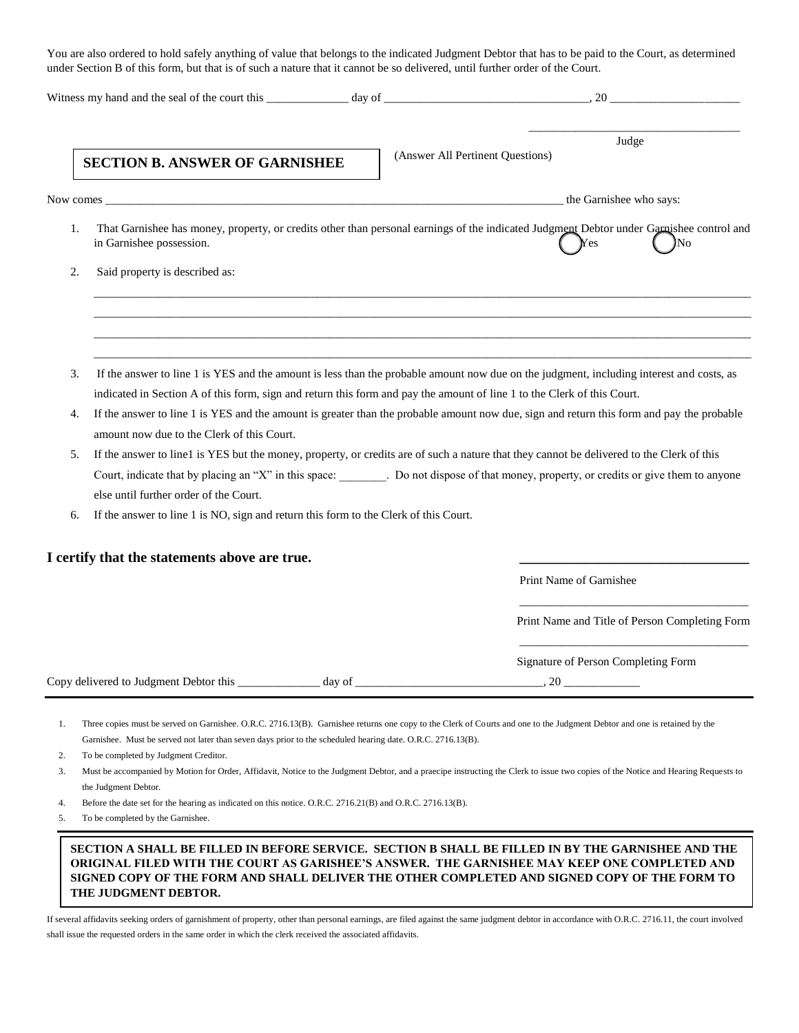You are also ordered to hold safely anything of value that belongs to the indicated Judgment Debtor that has to be paid to the Court, as determined under Section B of this form, but that is of such a nature that it cannot be so delivered, until further order of the Court.

|    | <b>SECTION B. ANSWER OF GARNISHEE</b>                                                                                   | Judge<br>(Answer All Pertinent Questions)                                                                                                                                                                                                                                    |
|----|-------------------------------------------------------------------------------------------------------------------------|------------------------------------------------------------------------------------------------------------------------------------------------------------------------------------------------------------------------------------------------------------------------------|
|    |                                                                                                                         | Now comes the Garnishee who says:                                                                                                                                                                                                                                            |
| 1. | in Garnishee possession.                                                                                                | That Garnishee has money, property, or credits other than personal earnings of the indicated Judgment Debtor under Garnishee control and<br>Yes<br>No                                                                                                                        |
| 2. | Said property is described as:                                                                                          |                                                                                                                                                                                                                                                                              |
|    |                                                                                                                         |                                                                                                                                                                                                                                                                              |
| 3. | indicated in Section A of this form, sign and return this form and pay the amount of line 1 to the Clerk of this Court. | If the answer to line 1 is YES and the amount is less than the probable amount now due on the judgment, including interest and costs, as                                                                                                                                     |
| 4. | amount now due to the Clerk of this Court.                                                                              | If the answer to line 1 is YES and the amount is greater than the probable amount now due, sign and return this form and pay the probable                                                                                                                                    |
| 5. | else until further order of the Court.                                                                                  | If the answer to line1 is YES but the money, property, or credits are of such a nature that they cannot be delivered to the Clerk of this<br>Court, indicate that by placing an "X" in this space: Do not dispose of that money, property, or credits or give them to anyone |
| 6. | If the answer to line 1 is NO, sign and return this form to the Clerk of this Court.                                    |                                                                                                                                                                                                                                                                              |
|    | I certify that the statements above are true.                                                                           |                                                                                                                                                                                                                                                                              |
|    |                                                                                                                         | Print Name of Garnishee                                                                                                                                                                                                                                                      |
|    |                                                                                                                         | Print Name and Title of Person Completing Form                                                                                                                                                                                                                               |
|    |                                                                                                                         | Signature of Person Completing Form                                                                                                                                                                                                                                          |
| 1. | Garnishee. Must be served not later than seven days prior to the scheduled hearing date. O.R.C. 2716.13(B).             | Three copies must be served on Garnishee. O.R.C. 2716.13(B). Garnishee returns one copy to the Clerk of Courts and one to the Judgment Debtor and one is retained by the                                                                                                     |

2. To be completed by Judgment Creditor.

3. Must be accompanied by Motion for Order, Affidavit, Notice to the Judgment Debtor, and a praecipe instructing the Clerk to issue two copies of the Notice and Hearing Requests to the Judgment Debtor.

4. Before the date set for the hearing as indicated on this notice. O.R.C. 2716.21(B) and O.R.C. 2716.13(B).

5. To be completed by the Garnishee.

## **SECTION A SHALL BE FILLED IN BEFORE SERVICE. SECTION B SHALL BE FILLED IN BY THE GARNISHEE AND THE ORIGINAL FILED WITH THE COURT AS GARISHEE'S ANSWER. THE GARNISHEE MAY KEEP ONE COMPLETED AND SIGNED COPY OF THE FORM AND SHALL DELIVER THE OTHER COMPLETED AND SIGNED COPY OF THE FORM TO THE JUDGMENT DEBTOR.**

If several affidavits seeking orders of garnishment of property, other than personal earnings, are filed against the same judgment debtor in accordance with O.R.C. 2716.11, the court involved shall issue the requested orders in the same order in which the clerk received the associated affidavits.